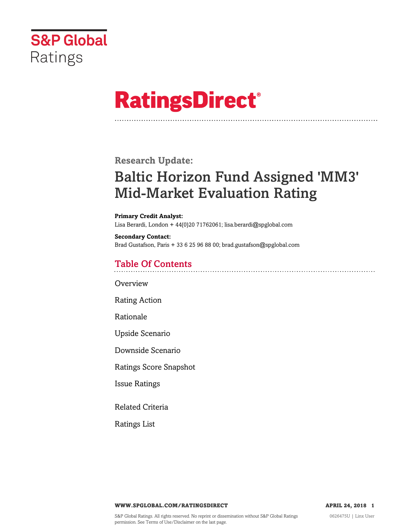

# **RatingsDirect®**

**Research Update:**

# Baltic Horizon Fund Assigned 'MM3' Mid-Market Evaluation Rating

**Primary Credit Analyst:**

Lisa Berardi, London + 44(0)20 71762061; lisa.berardi@spglobal.com

**Secondary Contact:** Brad Gustafson, Paris + 33 6 25 96 88 00; brad.gustafson@spglobal.com

# Table Of Contents

[Overview](#page-1-0)

[Rating Action](#page-1-1)

[Rationale](#page-1-2)

[Upside Scenario](#page-4-0)

[Downside Scenario](#page-4-1)

[Ratings Score Snapshot](#page-5-0)

[Issue Ratings](#page-5-1)

[Related Criteria](#page-6-0)

[Ratings List](#page-6-1)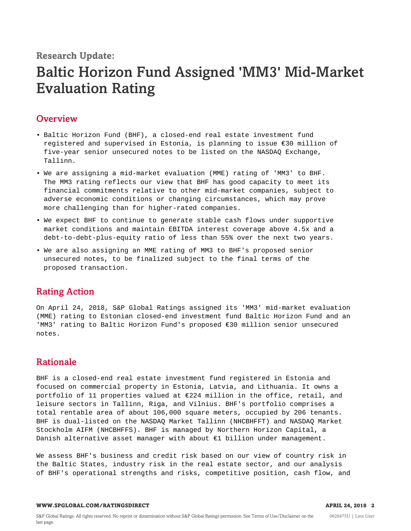# **Research Update:**

# Baltic Horizon Fund Assigned 'MM3' Mid-Market Evaluation Rating

# <span id="page-1-0"></span>**Overview**

- Baltic Horizon Fund (BHF), a closed-end real estate investment fund registered and supervised in Estonia, is planning to issue €30 million of five-year senior unsecured notes to be listed on the NASDAQ Exchange, Tallinn.
- We are assigning a mid-market evaluation (MME) rating of 'MM3' to BHF. The MM3 rating reflects our view that BHF has good capacity to meet its financial commitments relative to other mid-market companies, subject to adverse economic conditions or changing circumstances, which may prove more challenging than for higher-rated companies.
- We expect BHF to continue to generate stable cash flows under supportive market conditions and maintain EBITDA interest coverage above 4.5x and a debt-to-debt-plus-equity ratio of less than 55% over the next two years.
- We are also assigning an MME rating of MM3 to BHF's proposed senior unsecured notes, to be finalized subject to the final terms of the proposed transaction.

# <span id="page-1-1"></span>Rating Action

On April 24, 2018, S&P Global Ratings assigned its 'MM3' mid-market evaluation (MME) rating to Estonian closed-end investment fund Baltic Horizon Fund and an 'MM3' rating to Baltic Horizon Fund's proposed €30 million senior unsecured notes.

# <span id="page-1-2"></span>Rationale

BHF is a closed-end real estate investment fund registered in Estonia and focused on commercial property in Estonia, Latvia, and Lithuania. It owns a portfolio of 11 properties valued at €224 million in the office, retail, and leisure sectors in Tallinn, Riga, and Vilnius. BHF's portfolio comprises a total rentable area of about 106,000 square meters, occupied by 206 tenants. BHF is dual-listed on the NASDAQ Market Tallinn (NHCBHFFT) and NASDAQ Market Stockholm AIFM (NHCBHFFS). BHF is managed by Northern Horizon Capital, a Danish alternative asset manager with about €1 billion under management.

We assess BHF's business and credit risk based on our view of country risk in the Baltic States, industry risk in the real estate sector, and our analysis of BHF's operational strengths and risks, competitive position, cash flow, and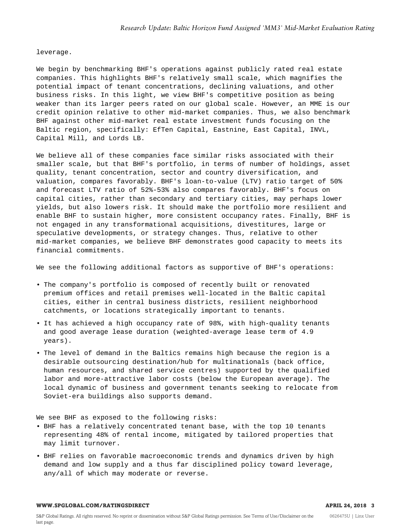leverage.

We begin by benchmarking BHF's operations against publicly rated real estate companies. This highlights BHF's relatively small scale, which magnifies the potential impact of tenant concentrations, declining valuations, and other business risks. In this light, we view BHF's competitive position as being weaker than its larger peers rated on our global scale. However, an MME is our credit opinion relative to other mid-market companies. Thus, we also benchmark BHF against other mid-market real estate investment funds focusing on the Baltic region, specifically: EfTen Capital, Eastnine, East Capital, INVL, Capital Mill, and Lords LB.

We believe all of these companies face similar risks associated with their smaller scale, but that BHF's portfolio, in terms of number of holdings, asset quality, tenant concentration, sector and country diversification, and valuation, compares favorably. BHF's loan-to-value (LTV) ratio target of 50% and forecast LTV ratio of 52%-53% also compares favorably. BHF's focus on capital cities, rather than secondary and tertiary cities, may perhaps lower yields, but also lowers risk. It should make the portfolio more resilient and enable BHF to sustain higher, more consistent occupancy rates. Finally, BHF is not engaged in any transformational acquisitions, divestitures, large or speculative developments, or strategy changes. Thus, relative to other mid-market companies, we believe BHF demonstrates good capacity to meets its financial commitments.

We see the following additional factors as supportive of BHF's operations:

- The company's portfolio is composed of recently built or renovated premium offices and retail premises well-located in the Baltic capital cities, either in central business districts, resilient neighborhood catchments, or locations strategically important to tenants.
- It has achieved a high occupancy rate of 98%, with high-quality tenants and good average lease duration (weighted-average lease term of 4.9 years).
- The level of demand in the Baltics remains high because the region is a desirable outsourcing destination/hub for multinationals (back office, human resources, and shared service centres) supported by the qualified labor and more-attractive labor costs (below the European average). The local dynamic of business and government tenants seeking to relocate from Soviet-era buildings also supports demand.

We see BHF as exposed to the following risks:

- BHF has a relatively concentrated tenant base, with the top 10 tenants representing 48% of rental income, mitigated by tailored properties that may limit turnover.
- BHF relies on favorable macroeconomic trends and dynamics driven by high demand and low supply and a thus far disciplined policy toward leverage, any/all of which may moderate or reverse.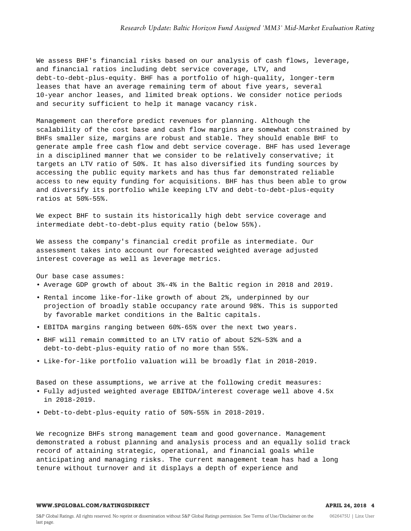We assess BHF's financial risks based on our analysis of cash flows, leverage, and financial ratios including debt service coverage, LTV, and debt-to-debt-plus-equity. BHF has a portfolio of high-quality, longer-term leases that have an average remaining term of about five years, several 10-year anchor leases, and limited break options. We consider notice periods and security sufficient to help it manage vacancy risk.

Management can therefore predict revenues for planning. Although the scalability of the cost base and cash flow margins are somewhat constrained by BHFs smaller size, margins are robust and stable. They should enable BHF to generate ample free cash flow and debt service coverage. BHF has used leverage in a disciplined manner that we consider to be relatively conservative; it targets an LTV ratio of 50%. It has also diversified its funding sources by accessing the public equity markets and has thus far demonstrated reliable access to new equity funding for acquisitions. BHF has thus been able to grow and diversify its portfolio while keeping LTV and debt-to-debt-plus-equity ratios at 50%-55%.

We expect BHF to sustain its historically high debt service coverage and intermediate debt-to-debt-plus equity ratio (below 55%).

We assess the company's financial credit profile as intermediate. Our assessment takes into account our forecasted weighted average adjusted interest coverage as well as leverage metrics.

Our base case assumes:

• Average GDP growth of about 3%-4% in the Baltic region in 2018 and 2019.

- Rental income like-for-like growth of about 2%, underpinned by our projection of broadly stable occupancy rate around 98%. This is supported by favorable market conditions in the Baltic capitals.
- EBITDA margins ranging between 60%-65% over the next two years.
- BHF will remain committed to an LTV ratio of about 52%-53% and a debt-to-debt-plus-equity ratio of no more than 55%.
- Like-for-like portfolio valuation will be broadly flat in 2018-2019.

Based on these assumptions, we arrive at the following credit measures:

- Fully adjusted weighted average EBITDA/interest coverage well above 4.5x in 2018-2019.
- Debt-to-debt-plus-equity ratio of 50%-55% in 2018-2019.

We recognize BHFs strong management team and good governance. Management demonstrated a robust planning and analysis process and an equally solid track record of attaining strategic, operational, and financial goals while anticipating and managing risks. The current management team has had a long tenure without turnover and it displays a depth of experience and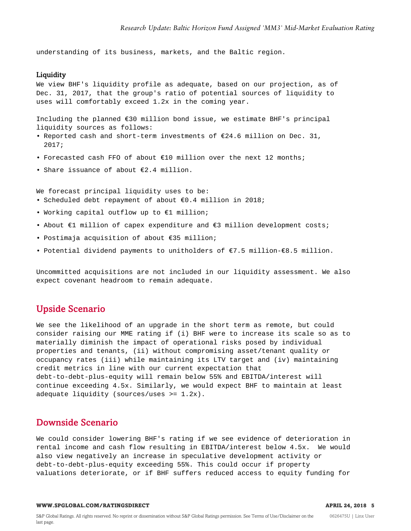understanding of its business, markets, and the Baltic region.

#### Liquidity

We view BHF's liquidity profile as adequate, based on our projection, as of Dec. 31, 2017, that the group's ratio of potential sources of liquidity to uses will comfortably exceed 1.2x in the coming year.

Including the planned  $\epsilon$ 30 million bond issue, we estimate BHF's principal liquidity sources as follows:

- Reported cash and short-term investments of €24.6 million on Dec. 31, 2017;
- Forecasted cash FFO of about €10 million over the next 12 months;
- Share issuance of about €2.4 million.

We forecast principal liquidity uses to be:

- Scheduled debt repayment of about €0.4 million in 2018;
- Working capital outflow up to €1 million;
- About €1 million of capex expenditure and €3 million development costs;
- Postimaja acquisition of about €35 million;
- Potential dividend payments to unitholders of €7.5 million-€8.5 million.

Uncommitted acquisitions are not included in our liquidity assessment. We also expect covenant headroom to remain adequate.

## <span id="page-4-0"></span>Upside Scenario

We see the likelihood of an upgrade in the short term as remote, but could consider raising our MME rating if (i) BHF were to increase its scale so as to materially diminish the impact of operational risks posed by individual properties and tenants, (ii) without compromising asset/tenant quality or occupancy rates (iii) while maintaining its LTV target and (iv) maintaining credit metrics in line with our current expectation that debt-to-debt-plus-equity will remain below 55% and EBITDA/interest will continue exceeding 4.5x. Similarly, we would expect BHF to maintain at least adequate liquidity (sources/uses >= 1.2x).

#### <span id="page-4-1"></span>Downside Scenario

We could consider lowering BHF's rating if we see evidence of deterioration in rental income and cash flow resulting in EBITDA/interest below 4.5x. We would also view negatively an increase in speculative development activity or debt-to-debt-plus-equity exceeding 55%. This could occur if property valuations deteriorate, or if BHF suffers reduced access to equity funding for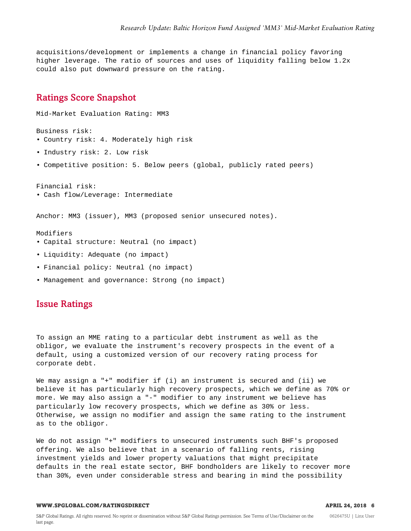acquisitions/development or implements a change in financial policy favoring higher leverage. The ratio of sources and uses of liquidity falling below 1.2x could also put downward pressure on the rating.

#### <span id="page-5-0"></span>Ratings Score Snapshot

Mid-Market Evaluation Rating: MM3 Business risk: • Country risk: 4. Moderately high risk • Industry risk: 2. Low risk • Competitive position: 5. Below peers (global, publicly rated peers) Financial risk: • Cash flow/Leverage: Intermediate Anchor: MM3 (issuer), MM3 (proposed senior unsecured notes). Modifiers • Capital structure: Neutral (no impact) • Liquidity: Adequate (no impact)

- Financial policy: Neutral (no impact)
- <span id="page-5-1"></span>• Management and governance: Strong (no impact)

# Issue Ratings

To assign an MME rating to a particular debt instrument as well as the obligor, we evaluate the instrument's recovery prospects in the event of a default, using a customized version of our recovery rating process for corporate debt.

We may assign a "+" modifier if (i) an instrument is secured and (ii) we believe it has particularly high recovery prospects, which we define as 70% or more. We may also assign a "-" modifier to any instrument we believe has particularly low recovery prospects, which we define as 30% or less. Otherwise, we assign no modifier and assign the same rating to the instrument as to the obligor.

We do not assign "+" modifiers to unsecured instruments such BHF's proposed offering. We also believe that in a scenario of falling rents, rising investment yields and lower property valuations that might precipitate defaults in the real estate sector, BHF bondholders are likely to recover more than 30%, even under considerable stress and bearing in mind the possibility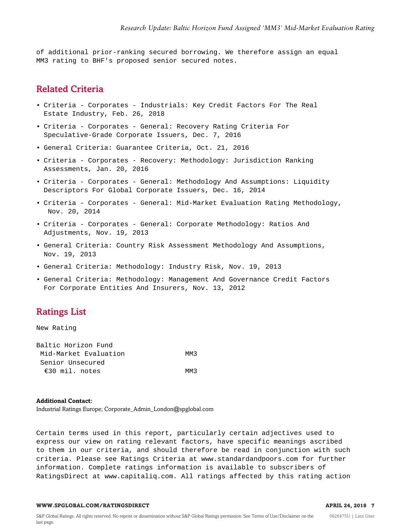of additional prior-ranking secured borrowing. We therefore assign an equal MM3 rating to BHF's proposed senior secured notes.

# <span id="page-6-0"></span>Related Criteria

- Criteria Corporates Industrials: Key Credit Factors For The Real Estate Industry, Feb. 26, 2018
- Criteria Corporates General: Recovery Rating Criteria For Speculative-Grade Corporate Issuers, Dec. 7, 2016
- General Criteria: Guarantee Criteria, Oct. 21, 2016
- Criteria Corporates Recovery: Methodology: Jurisdiction Ranking Assessments, Jan. 20, 2016
- Criteria Corporates General: Methodology And Assumptions: Liquidity Descriptors For Global Corporate Issuers, Dec. 16, 2014
- Criteria Corporates General: Mid-Market Evaluation Rating Methodology, Nov. 20, 2014
- Criteria Corporates General: Corporate Methodology: Ratios And Adjustments, Nov. 19, 2013
- General Criteria: Country Risk Assessment Methodology And Assumptions, Nov. 19, 2013
- General Criteria: Methodology: Industry Risk, Nov. 19, 2013
- General Criteria: Methodology: Management And Governance Credit Factors For Corporate Entities And Insurers, Nov. 13, 2012

# <span id="page-6-1"></span>Ratings List

New Rating

| Baltic Horizon Fund   |      |
|-----------------------|------|
| Mid-Market Evaluation | MM3  |
| Senior Unsecured      |      |
| €30 mil. notes        | MM 3 |

#### **Additional Contact:**

Industrial Ratings Europe; Corporate\_Admin\_London@spglobal.com

Certain terms used in this report, particularly certain adjectives used to express our view on rating relevant factors, have specific meanings ascribed to them in our criteria, and should therefore be read in conjunction with such criteria. Please see Ratings Criteria at www.standardandpoors.com for further information. Complete ratings information is available to subscribers of RatingsDirect at www.capitaliq.com. All ratings affected by this rating action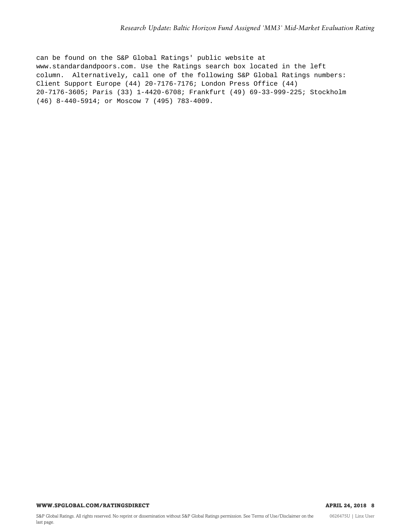can be found on the S&P Global Ratings' public website at www.standardandpoors.com. Use the Ratings search box located in the left column. Alternatively, call one of the following S&P Global Ratings numbers: Client Support Europe (44) 20-7176-7176; London Press Office (44) 20-7176-3605; Paris (33) 1-4420-6708; Frankfurt (49) 69-33-999-225; Stockholm (46) 8-440-5914; or Moscow 7 (495) 783-4009.